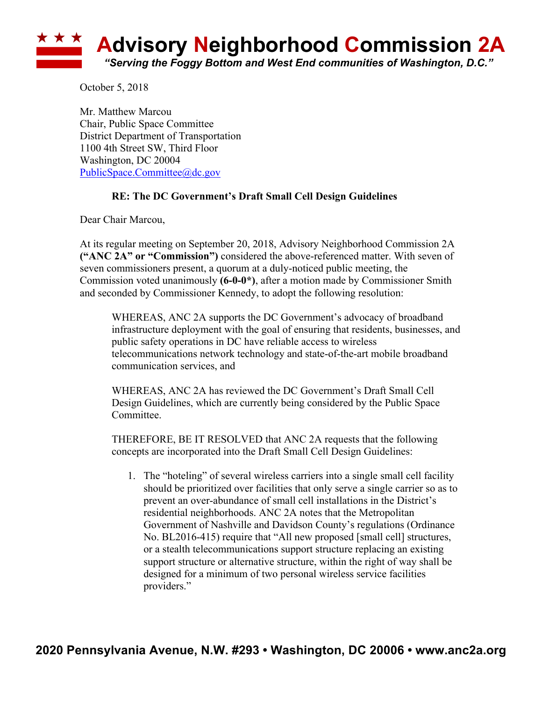

October 5, 2018

Mr. Matthew Marcou Chair, Public Space Committee District Department of Transportation 1100 4th Street SW, Third Floor Washington, DC 20004 PublicSpace.Committee@dc.gov

## **RE: The DC Government's Draft Small Cell Design Guidelines**

Dear Chair Marcou,

At its regular meeting on September 20, 2018, Advisory Neighborhood Commission 2A **("ANC 2A" or "Commission")** considered the above-referenced matter. With seven of seven commissioners present, a quorum at a duly-noticed public meeting, the Commission voted unanimously **(6-0-0\*)**, after a motion made by Commissioner Smith and seconded by Commissioner Kennedy, to adopt the following resolution:

WHEREAS, ANC 2A supports the DC Government's advocacy of broadband infrastructure deployment with the goal of ensuring that residents, businesses, and public safety operations in DC have reliable access to wireless telecommunications network technology and state-of-the-art mobile broadband communication services, and

WHEREAS, ANC 2A has reviewed the DC Government's Draft Small Cell Design Guidelines, which are currently being considered by the Public Space Committee.

THEREFORE, BE IT RESOLVED that ANC 2A requests that the following concepts are incorporated into the Draft Small Cell Design Guidelines:

1. The "hoteling" of several wireless carriers into a single small cell facility should be prioritized over facilities that only serve a single carrier so as to prevent an over-abundance of small cell installations in the District's residential neighborhoods. ANC 2A notes that the Metropolitan Government of Nashville and Davidson County's regulations (Ordinance No. BL2016-415) require that "All new proposed [small cell] structures, or a stealth telecommunications support structure replacing an existing support structure or alternative structure, within the right of way shall be designed for a minimum of two personal wireless service facilities providers."